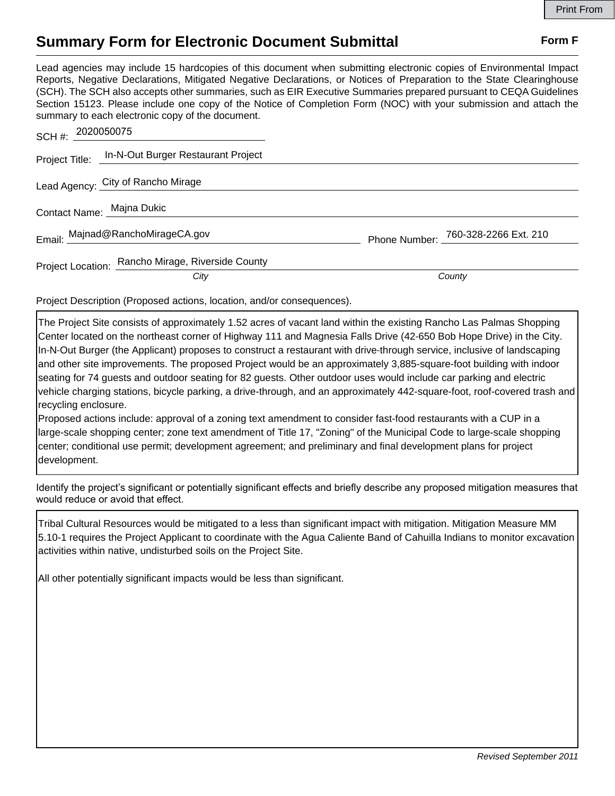## **Summary Form for Electronic Document Submittal Form F Form F**

Lead agencies may include 15 hardcopies of this document when submitting electronic copies of Environmental Impact Reports, Negative Declarations, Mitigated Negative Declarations, or Notices of Preparation to the State Clearinghouse (SCH). The SCH also accepts other summaries, such as EIR Executive Summaries prepared pursuant to CEQA Guidelines Section 15123. Please include one copy of the Notice of Completion Form (NOC) with your submission and attach the summary to each electronic copy of the document.

| Phone Number: 760-328-2266 Ext. 210 |
|-------------------------------------|
| County                              |
|                                     |

Project Description (Proposed actions, location, and/or consequences).

The Project Site consists of approximately 1.52 acres of vacant land within the existing Rancho Las Palmas Shopping Center located on the northeast corner of Highway 111 and Magnesia Falls Drive (42‐650 Bob Hope Drive) in the City. In‐N‐Out Burger (the Applicant) proposes to construct a restaurant with drive‐through service, inclusive of landscaping and other site improvements. The proposed Project would be an approximately 3,885-square-foot building with indoor seating for 74 guests and outdoor seating for 82 guests. Other outdoor uses would include car parking and electric vehicle charging stations, bicycle parking, a drive-through, and an approximately 442-square-foot, roof-covered trash and recycling enclosure.

Proposed actions include: approval of a zoning text amendment to consider fast-food restaurants with a CUP in a large-scale shopping center; zone text amendment of Title 17, "Zoning" of the Municipal Code to large-scale shopping center; conditional use permit; development agreement; and preliminary and final development plans for project development.

Identify the project's significant or potentially significant effects and briefly describe any proposed mitigation measures that would reduce or avoid that effect.

Tribal Cultural Resources would be mitigated to a less than significant impact with mitigation. Mitigation Measure MM 5.10-1 requires the Project Applicant to coordinate with the Agua Caliente Band of Cahuilla Indians to monitor excavation activities within native, undisturbed soils on the Project Site.

All other potentially significant impacts would be less than significant.